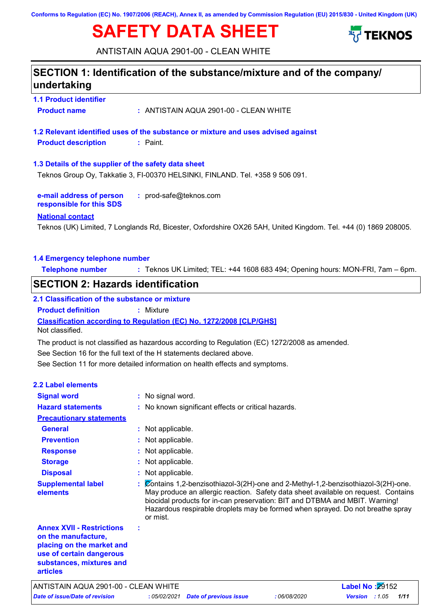**Conforms to Regulation (EC) No. 1907/2006 (REACH), Annex II, as amended by Commission Regulation (EU) 2015/830 - United Kingdom (UK)**

# **SAFETY DATA SHEET**



ANTISTAIN AQUA 2901-00 - CLEAN WHITE

### **SECTION 1: Identification of the substance/mixture and of the company/ undertaking**

**1.1 Product identifier Product name :** ANTISTAIN AQUA 2901-00 - CLEAN WHITE

**1.2 Relevant identified uses of the substance or mixture and uses advised against Product description :** Paint.

**1.3 Details of the supplier of the safety data sheet**

Teknos Group Oy, Takkatie 3, FI-00370 HELSINKI, FINLAND. Tel. +358 9 506 091.

**e-mail address of person responsible for this SDS :** prod-safe@teknos.com

#### **National contact**

Teknos (UK) Limited, 7 Longlands Rd, Bicester, Oxfordshire OX26 5AH, United Kingdom. Tel. +44 (0) 1869 208005.

#### **1.4 Emergency telephone number**

**Telephone number :** Teknos UK Limited; TEL: +44 1608 683 494; Opening hours: MON-FRI, 7am – 6pm.

### **SECTION 2: Hazards identification**

#### **Classification according to Regulation (EC) No. 1272/2008 [CLP/GHS] 2.1 Classification of the substance or mixture Product definition :** Mixture

Not classified.

The product is not classified as hazardous according to Regulation (EC) 1272/2008 as amended.

See Section 16 for the full text of the H statements declared above.

See Section 11 for more detailed information on health effects and symptoms.

| <b>2.2 Label elements</b>                                                                                                                                       |                                                                                                                                                                                                                                                                                                                                                       |
|-----------------------------------------------------------------------------------------------------------------------------------------------------------------|-------------------------------------------------------------------------------------------------------------------------------------------------------------------------------------------------------------------------------------------------------------------------------------------------------------------------------------------------------|
| <b>Signal word</b>                                                                                                                                              | : No signal word.                                                                                                                                                                                                                                                                                                                                     |
| <b>Hazard statements</b>                                                                                                                                        | : No known significant effects or critical hazards.                                                                                                                                                                                                                                                                                                   |
| <b>Precautionary statements</b>                                                                                                                                 |                                                                                                                                                                                                                                                                                                                                                       |
| <b>General</b>                                                                                                                                                  | : Not applicable.                                                                                                                                                                                                                                                                                                                                     |
| <b>Prevention</b>                                                                                                                                               | : Not applicable.                                                                                                                                                                                                                                                                                                                                     |
| <b>Response</b>                                                                                                                                                 | : Not applicable.                                                                                                                                                                                                                                                                                                                                     |
| <b>Storage</b>                                                                                                                                                  | : Not applicable.                                                                                                                                                                                                                                                                                                                                     |
| <b>Disposal</b>                                                                                                                                                 | : Not applicable.                                                                                                                                                                                                                                                                                                                                     |
| <b>Supplemental label</b><br>elements                                                                                                                           | : Contains 1,2-benzisothiazol-3(2H)-one and 2-Methyl-1,2-benzisothiazol-3(2H)-one.<br>May produce an allergic reaction. Safety data sheet available on request. Contains<br>biocidal products for in-can preservation: BIT and DTBMA and MBIT. Warning!<br>Hazardous respirable droplets may be formed when sprayed. Do not breathe spray<br>or mist. |
| <b>Annex XVII - Restrictions</b><br>on the manufacture,<br>placing on the market and<br>use of certain dangerous<br>substances, mixtures and<br><b>articles</b> |                                                                                                                                                                                                                                                                                                                                                       |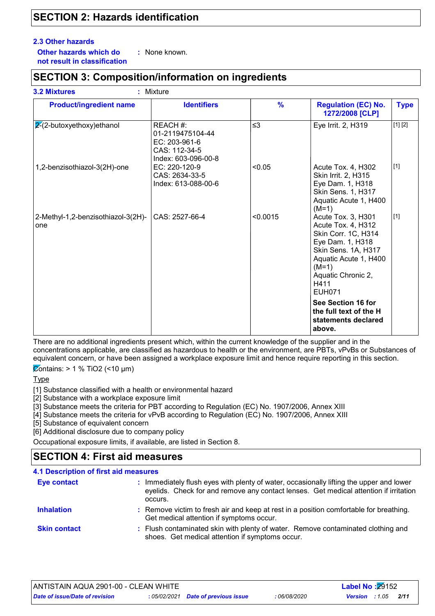### **SECTION 2: Hazards identification**

#### **2.3 Other hazards**

**Other hazards which do : not result in classification** : None known.

### **SECTION 3: Composition/information on ingredients**

| <b>Product/ingredient name</b>            | <b>Identifiers</b>                                                                    | $\frac{9}{6}$ | <b>Regulation (EC) No.</b><br>1272/2008 [CLP]                                                                                                                                                 | <b>Type</b> |
|-------------------------------------------|---------------------------------------------------------------------------------------|---------------|-----------------------------------------------------------------------------------------------------------------------------------------------------------------------------------------------|-------------|
| $2-(2-butoxyethoxy)ethanol$               | REACH #:<br>01-2119475104-44<br>EC: 203-961-6<br>CAS: 112-34-5<br>Index: 603-096-00-8 | $\leq$ 3      | Eye Irrit. 2, H319                                                                                                                                                                            | [1] [2]     |
| 1,2-benzisothiazol-3(2H)-one              | EC: 220-120-9<br>CAS: 2634-33-5<br>Index: 613-088-00-6                                | < 0.05        | Acute Tox. 4, H302<br>Skin Irrit. 2, H315<br>Eye Dam. 1, H318<br>Skin Sens. 1, H317<br>Aquatic Acute 1, H400<br>$(M=1)$                                                                       | $[1]$       |
| 2-Methyl-1,2-benzisothiazol-3(2H)-<br>one | CAS: 2527-66-4                                                                        | < 0.0015      | Acute Tox. 3, H301<br>Acute Tox. 4, H312<br>Skin Corr. 1C, H314<br>Eye Dam. 1, H318<br>Skin Sens. 1A, H317<br>Aquatic Acute 1, H400<br>$(M=1)$<br>Aquatic Chronic 2,<br>H411<br><b>EUH071</b> | $[1]$       |
|                                           |                                                                                       |               | See Section 16 for<br>the full text of the H<br>statements declared<br>above.                                                                                                                 |             |

There are no additional ingredients present which, within the current knowledge of the supplier and in the concentrations applicable, are classified as hazardous to health or the environment, are PBTs, vPvBs or Substances of equivalent concern, or have been assigned a workplace exposure limit and hence require reporting in this section.

 $\overline{\mathcal{Q}}$ ontains: > 1 % TiO2 (<10 µm)

**Type** 

[1] Substance classified with a health or environmental hazard

[2] Substance with a workplace exposure limit

[3] Substance meets the criteria for PBT according to Regulation (EC) No. 1907/2006, Annex XIII

[4] Substance meets the criteria for vPvB according to Regulation (EC) No. 1907/2006, Annex XIII

[5] Substance of equivalent concern

[6] Additional disclosure due to company policy

Occupational exposure limits, if available, are listed in Section 8.

### **SECTION 4: First aid measures**

| <b>4.1 Description of first aid measures</b> |                                                                                                                                                                                             |
|----------------------------------------------|---------------------------------------------------------------------------------------------------------------------------------------------------------------------------------------------|
| <b>Eye contact</b>                           | : Immediately flush eyes with plenty of water, occasionally lifting the upper and lower<br>eyelids. Check for and remove any contact lenses. Get medical attention if irritation<br>occurs. |
| <b>Inhalation</b>                            | : Remove victim to fresh air and keep at rest in a position comfortable for breathing.<br>Get medical attention if symptoms occur.                                                          |
| <b>Skin contact</b>                          | : Flush contaminated skin with plenty of water. Remove contaminated clothing and<br>shoes. Get medical attention if symptoms occur.                                                         |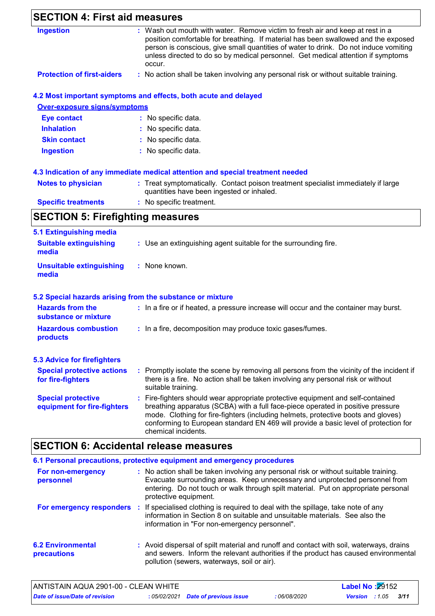| <b>SECTION 4: First aid measures</b>                     |                                                                                                                                                                                                                                                                                                                                                                       |
|----------------------------------------------------------|-----------------------------------------------------------------------------------------------------------------------------------------------------------------------------------------------------------------------------------------------------------------------------------------------------------------------------------------------------------------------|
| <b>Ingestion</b>                                         | : Wash out mouth with water. Remove victim to fresh air and keep at rest in a<br>position comfortable for breathing. If material has been swallowed and the exposed<br>person is conscious, give small quantities of water to drink. Do not induce vomiting<br>unless directed to do so by medical personnel. Get medical attention if symptoms<br>occur.             |
| <b>Protection of first-aiders</b>                        | : No action shall be taken involving any personal risk or without suitable training.                                                                                                                                                                                                                                                                                  |
|                                                          | 4.2 Most important symptoms and effects, both acute and delayed                                                                                                                                                                                                                                                                                                       |
| <b>Over-exposure signs/symptoms</b>                      |                                                                                                                                                                                                                                                                                                                                                                       |
| <b>Eye contact</b>                                       | : No specific data.                                                                                                                                                                                                                                                                                                                                                   |
| <b>Inhalation</b>                                        | No specific data.                                                                                                                                                                                                                                                                                                                                                     |
| <b>Skin contact</b>                                      | No specific data.                                                                                                                                                                                                                                                                                                                                                     |
| <b>Ingestion</b>                                         | : No specific data.                                                                                                                                                                                                                                                                                                                                                   |
|                                                          | 4.3 Indication of any immediate medical attention and special treatment needed                                                                                                                                                                                                                                                                                        |
| <b>Notes to physician</b>                                | : Treat symptomatically. Contact poison treatment specialist immediately if large<br>quantities have been ingested or inhaled.                                                                                                                                                                                                                                        |
| <b>Specific treatments</b>                               | : No specific treatment.                                                                                                                                                                                                                                                                                                                                              |
| <b>SECTION 5: Firefighting measures</b>                  |                                                                                                                                                                                                                                                                                                                                                                       |
| 5.1 Extinguishing media                                  |                                                                                                                                                                                                                                                                                                                                                                       |
| <b>Suitable extinguishing</b><br>media                   | : Use an extinguishing agent suitable for the surrounding fire.                                                                                                                                                                                                                                                                                                       |
| <b>Unsuitable extinguishing</b><br>media                 | : None known.                                                                                                                                                                                                                                                                                                                                                         |
|                                                          | 5.2 Special hazards arising from the substance or mixture                                                                                                                                                                                                                                                                                                             |
| <b>Hazards from the</b><br>substance or mixture          | : In a fire or if heated, a pressure increase will occur and the container may burst.                                                                                                                                                                                                                                                                                 |
| <b>Hazardous combustion</b><br>products                  | : In a fire, decomposition may produce toxic gases/fumes.                                                                                                                                                                                                                                                                                                             |
| <b>5.3 Advice for firefighters</b>                       |                                                                                                                                                                                                                                                                                                                                                                       |
| <b>Special protective actions</b><br>for fire-fighters   | : Promptly isolate the scene by removing all persons from the vicinity of the incident if<br>there is a fire. No action shall be taken involving any personal risk or without<br>suitable training.                                                                                                                                                                   |
| <b>Special protective</b><br>equipment for fire-fighters | : Fire-fighters should wear appropriate protective equipment and self-contained<br>breathing apparatus (SCBA) with a full face-piece operated in positive pressure<br>mode. Clothing for fire-fighters (including helmets, protective boots and gloves)<br>conforming to European standard EN 469 will provide a basic level of protection for<br>chemical incidents. |

## **SECTION 6: Accidental release measures**

|                                                | 6.1 Personal precautions, protective equipment and emergency procedures                                                                                                                                                                                                            |
|------------------------------------------------|------------------------------------------------------------------------------------------------------------------------------------------------------------------------------------------------------------------------------------------------------------------------------------|
| For non-emergency<br>personnel                 | : No action shall be taken involving any personal risk or without suitable training.<br>Evacuate surrounding areas. Keep unnecessary and unprotected personnel from<br>entering. Do not touch or walk through spilt material. Put on appropriate personal<br>protective equipment. |
|                                                | For emergency responders : If specialised clothing is required to deal with the spillage, take note of any<br>information in Section 8 on suitable and unsuitable materials. See also the<br>information in "For non-emergency personnel".                                         |
| <b>6.2 Environmental</b><br><b>precautions</b> | : Avoid dispersal of spilt material and runoff and contact with soil, waterways, drains<br>and sewers. Inform the relevant authorities if the product has caused environmental<br>pollution (sewers, waterways, soil or air).                                                      |

| ANTISTAIN AQUA 2901-00 - CLEAN WHITE  |                                     |            | <b>Label No: 29152</b>          |  |
|---------------------------------------|-------------------------------------|------------|---------------------------------|--|
| <b>Date of issue/Date of revision</b> | : 05/02/2021 Date of previous issue | 06/08/2020 | 3/11<br><b>Version</b> : $1.05$ |  |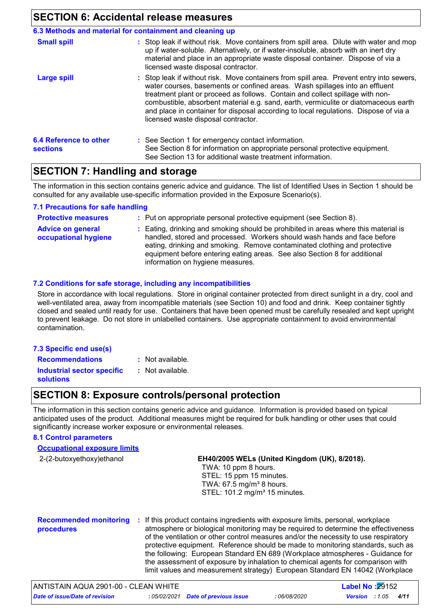### **SECTION 6: Accidental release measures**

|                                           | 6.3 Methods and material for containment and cleaning up                                                                                                                                                                                                                                                                                                                                                                                                                       |
|-------------------------------------------|--------------------------------------------------------------------------------------------------------------------------------------------------------------------------------------------------------------------------------------------------------------------------------------------------------------------------------------------------------------------------------------------------------------------------------------------------------------------------------|
| <b>Small spill</b>                        | : Stop leak if without risk. Move containers from spill area. Dilute with water and mop<br>up if water-soluble. Alternatively, or if water-insoluble, absorb with an inert dry<br>material and place in an appropriate waste disposal container. Dispose of via a<br>licensed waste disposal contractor.                                                                                                                                                                       |
| <b>Large spill</b>                        | : Stop leak if without risk. Move containers from spill area. Prevent entry into sewers,<br>water courses, basements or confined areas. Wash spillages into an effluent<br>treatment plant or proceed as follows. Contain and collect spillage with non-<br>combustible, absorbent material e.g. sand, earth, vermiculite or diatomaceous earth<br>and place in container for disposal according to local regulations. Dispose of via a<br>licensed waste disposal contractor. |
| 6.4 Reference to other<br><b>sections</b> | : See Section 1 for emergency contact information.<br>See Section 8 for information on appropriate personal protective equipment.<br>See Section 13 for additional waste treatment information.                                                                                                                                                                                                                                                                                |

### **SECTION 7: Handling and storage**

The information in this section contains generic advice and guidance. The list of Identified Uses in Section 1 should be consulted for any available use-specific information provided in the Exposure Scenario(s).

#### **7.1 Precautions for safe handling**

| <b>Protective measures</b>                       | : Put on appropriate personal protective equipment (see Section 8).                                                                                                                                                                                                                                                                                           |
|--------------------------------------------------|---------------------------------------------------------------------------------------------------------------------------------------------------------------------------------------------------------------------------------------------------------------------------------------------------------------------------------------------------------------|
| <b>Advice on general</b><br>occupational hygiene | : Eating, drinking and smoking should be prohibited in areas where this material is<br>handled, stored and processed. Workers should wash hands and face before<br>eating, drinking and smoking. Remove contaminated clothing and protective<br>equipment before entering eating areas. See also Section 8 for additional<br>information on hygiene measures. |

#### **7.2 Conditions for safe storage, including any incompatibilities**

Store in accordance with local regulations. Store in original container protected from direct sunlight in a dry, cool and well-ventilated area, away from incompatible materials (see Section 10) and food and drink. Keep container tightly closed and sealed until ready for use. Containers that have been opened must be carefully resealed and kept upright to prevent leakage. Do not store in unlabelled containers. Use appropriate containment to avoid environmental contamination.

#### **7.3 Specific end use(s)**

- **Recommendations :**
	- : Not available. : Not available.

**Industrial sector specific : solutions**

### **SECTION 8: Exposure controls/personal protection**

The information in this section contains generic advice and guidance. Information is provided based on typical anticipated uses of the product. Additional measures might be required for bulk handling or other uses that could significantly increase worker exposure or environmental releases.

### **8.1 Control parameters**

| <b>Occupational exposure limits</b>         |                                                                                                                                                                                                                                                                |
|---------------------------------------------|----------------------------------------------------------------------------------------------------------------------------------------------------------------------------------------------------------------------------------------------------------------|
| 2-(2-butoxyethoxy)ethanol                   | EH40/2005 WELs (United Kingdom (UK), 8/2018).<br>TWA: 10 ppm 8 hours.<br>STEL: 15 ppm 15 minutes.<br>TWA: 67.5 mg/m <sup>3</sup> 8 hours.<br>STEL: 101.2 mg/m <sup>3</sup> 15 minutes.                                                                         |
| <b>Recommended monitoring</b><br>procedures | : If this product contains ingredients with exposure limits, personal, workplace<br>atmosphere or biological monitoring may be required to determine the effectiveness<br>of the ventilation or other control measures and/or the necessity to use respiratory |

the following: European Standard EN 689 (Workplace atmospheres - Guidance for the assessment of exposure by inhalation to chemical agents for comparison with limit values and measurement strategy) European Standard EN 14042 (Workplace *Date of issue/Date of revision* **:** *05/02/2021 Date of previous issue : 06/08/2020 Version : 1.05 4/11* ANTISTAIN AQUA 2901-00 - CLEAN WHITE **Label No :**29152

protective equipment. Reference should be made to monitoring standards, such as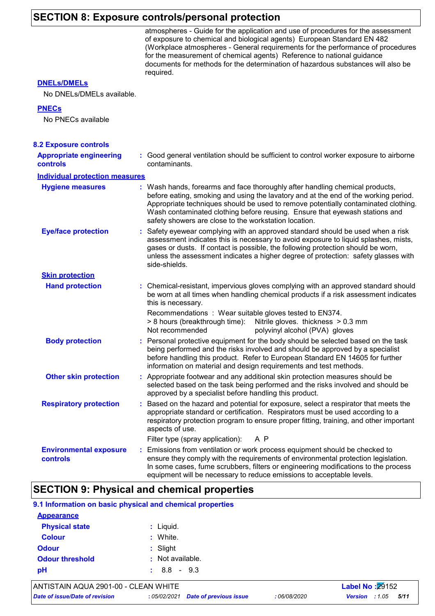## **SECTION 8: Exposure controls/personal protection**

|                                                 | atmospheres - Guide for the application and use of procedures for the assessment<br>of exposure to chemical and biological agents) European Standard EN 482<br>(Workplace atmospheres - General requirements for the performance of procedures<br>for the measurement of chemical agents) Reference to national guidance<br>documents for methods for the determination of hazardous substances will also be<br>required. |
|-------------------------------------------------|---------------------------------------------------------------------------------------------------------------------------------------------------------------------------------------------------------------------------------------------------------------------------------------------------------------------------------------------------------------------------------------------------------------------------|
| <b>DNELS/DMELS</b><br>No DNELs/DMELs available. |                                                                                                                                                                                                                                                                                                                                                                                                                           |
| <b>PNECs</b><br>No PNECs available              |                                                                                                                                                                                                                                                                                                                                                                                                                           |
| <b>8.2 Exposure controls</b>                    |                                                                                                                                                                                                                                                                                                                                                                                                                           |
| <b>Appropriate engineering</b><br>controls      | : Good general ventilation should be sufficient to control worker exposure to airborne<br>contaminants.                                                                                                                                                                                                                                                                                                                   |
| <b>Individual protection measures</b>           |                                                                                                                                                                                                                                                                                                                                                                                                                           |
| <b>Hygiene measures</b>                         | : Wash hands, forearms and face thoroughly after handling chemical products,<br>before eating, smoking and using the lavatory and at the end of the working period.<br>Appropriate techniques should be used to remove potentially contaminated clothing.<br>Wash contaminated clothing before reusing. Ensure that eyewash stations and<br>safety showers are close to the workstation location.                         |
| <b>Eye/face protection</b>                      | : Safety eyewear complying with an approved standard should be used when a risk<br>assessment indicates this is necessary to avoid exposure to liquid splashes, mists,<br>gases or dusts. If contact is possible, the following protection should be worn,<br>unless the assessment indicates a higher degree of protection: safety glasses with<br>side-shields.                                                         |
| <b>Skin protection</b>                          |                                                                                                                                                                                                                                                                                                                                                                                                                           |
| <b>Hand protection</b>                          | : Chemical-resistant, impervious gloves complying with an approved standard should<br>be worn at all times when handling chemical products if a risk assessment indicates<br>this is necessary.                                                                                                                                                                                                                           |
|                                                 | Recommendations: Wear suitable gloves tested to EN374.<br>> 8 hours (breakthrough time): Nitrile gloves. thickness > 0.3 mm<br>Not recommended<br>polyvinyl alcohol (PVA) gloves                                                                                                                                                                                                                                          |
| <b>Body protection</b>                          | : Personal protective equipment for the body should be selected based on the task<br>being performed and the risks involved and should be approved by a specialist<br>before handling this product. Refer to European Standard EN 14605 for further<br>information on material and design requirements and test methods.                                                                                                  |
| <b>Other skin protection</b>                    | : Appropriate footwear and any additional skin protection measures should be<br>selected based on the task being performed and the risks involved and should be<br>approved by a specialist before handling this product.                                                                                                                                                                                                 |
| <b>Respiratory protection</b>                   | : Based on the hazard and potential for exposure, select a respirator that meets the<br>appropriate standard or certification. Respirators must be used according to a<br>respiratory protection program to ensure proper fitting, training, and other important<br>aspects of use.                                                                                                                                       |
|                                                 | Filter type (spray application):<br>A P                                                                                                                                                                                                                                                                                                                                                                                   |
| <b>Environmental exposure</b><br>controls       | : Emissions from ventilation or work process equipment should be checked to<br>ensure they comply with the requirements of environmental protection legislation.<br>In some cases, fume scrubbers, filters or engineering modifications to the process<br>equipment will be necessary to reduce emissions to acceptable levels.                                                                                           |

## **SECTION 9: Physical and chemical properties**

|                                      | 9.1 Information on basic physical and chemical properties |                        |
|--------------------------------------|-----------------------------------------------------------|------------------------|
| <b>Appearance</b>                    |                                                           |                        |
| <b>Physical state</b>                | $:$ Liquid.                                               |                        |
| <b>Colour</b>                        | : White.                                                  |                        |
| <b>Odour</b>                         | : Slight                                                  |                        |
| <b>Odour threshold</b>               | : Not available.                                          |                        |
| рH                                   | $: 8.8 - 9.3$                                             |                        |
| ANTISTAIN AQUA 2901-00 - CLEAN WHITE |                                                           | <b>Label No: 29152</b> |

*Date of issue/Date of revision* **:** *05/02/2021 Date of previous issue : 06/08/2020 Version : 1.05 5/11*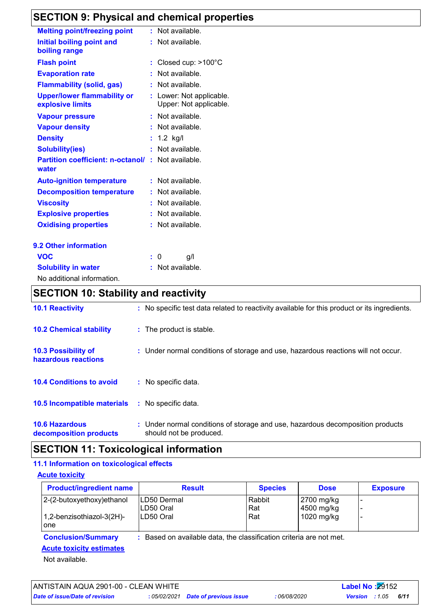## **SECTION 9: Physical and chemical properties**

| <b>Melting point/freezing point</b>      |    | : Not available.         |
|------------------------------------------|----|--------------------------|
| Initial boiling point and                |    | : Not available.         |
| boiling range                            |    |                          |
| <b>Flash point</b>                       |    | : Closed cup: >100°C     |
| <b>Evaporation rate</b>                  |    | Not available.           |
| <b>Flammability (solid, gas)</b>         |    | : Not available.         |
| <b>Upper/lower flammability or</b>       |    | : Lower: Not applicable. |
| explosive limits                         |    | Upper: Not applicable.   |
| <b>Vapour pressure</b>                   |    | $:$ Not available.       |
| <b>Vapour density</b>                    |    | $:$ Not available.       |
| <b>Density</b>                           |    | : $1.2$ kg/l             |
| <b>Solubility(ies)</b>                   |    | Not available.           |
| <b>Partition coefficient: n-octanol/</b> | t. | Not available.           |
| water                                    |    |                          |
| <b>Auto-ignition temperature</b>         |    | : Not available.         |
| <b>Decomposition temperature</b>         |    | Not available.           |
| <b>Viscosity</b>                         |    | Not available.           |
| <b>Explosive properties</b>              |    | Not available.           |
| <b>Oxidising properties</b>              |    | Not available.           |
| 9.2 Other information                    |    |                          |
| <b>VOC</b>                               | ÷. | 0<br>g/l                 |
| <b>Solubility in water</b>               |    | Not available.           |

No additional information.

### **SECTION 10: Stability and reactivity**

| <b>10.1 Reactivity</b>                          | : No specific test data related to reactivity available for this product or its ingredients.              |
|-------------------------------------------------|-----------------------------------------------------------------------------------------------------------|
| <b>10.2 Chemical stability</b>                  | : The product is stable.                                                                                  |
| 10.3 Possibility of<br>hazardous reactions      | : Under normal conditions of storage and use, hazardous reactions will not occur.                         |
| <b>10.4 Conditions to avoid</b>                 | : No specific data.                                                                                       |
| 10.5 Incompatible materials                     | : No specific data.                                                                                       |
| <b>10.6 Hazardous</b><br>decomposition products | : Under normal conditions of storage and use, hazardous decomposition products<br>should not be produced. |

### **SECTION 11: Toxicological information**

#### **11.1 Information on toxicological effects**

**Acute toxicity**

| <b>Product/ingredient name</b>                               | <b>Result</b>                                                     | <b>Species</b>       | <b>Dose</b>                            | <b>Exposure</b> |
|--------------------------------------------------------------|-------------------------------------------------------------------|----------------------|----------------------------------------|-----------------|
| $ 2-(2-butoxyethoxy)ethanol$<br>$1,2$ -benzisothiazol-3(2H)- | ILD50 Dermal<br>LD50 Oral<br>LD50 Oral                            | Rabbit<br>Rat<br>Rat | 2700 mg/kg<br>4500 mg/kg<br>1020 mg/kg |                 |
| <b>lone</b>                                                  |                                                                   |                      |                                        |                 |
| <b>Conclusion/Summary</b>                                    | Based on available data, the classification criteria are not met. |                      |                                        |                 |

### **Acute toxicity estimates**

Not available.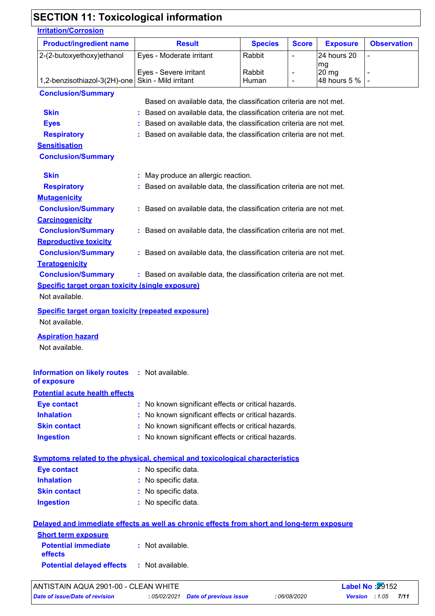### **SECTION 11: Toxicological information**

### **Potential acute health effects Inhalation :** No known significant effects or critical hazards. **Ingestion :** No known significant effects or critical hazards. **Skin contact :** No known significant effects or critical hazards. **Eye contact :** No known significant effects or critical hazards. **Carcinogenicity Conclusion/Summary :** Based on available data, the classification criteria are not met. **Mutagenicity Conclusion/Summary :** Based on available data, the classification criteria are not met. **Teratogenicity Conclusion/Summary :** Based on available data, the classification criteria are not met. **Reproductive toxicity Conclusion/Summary :** Based on available data, the classification criteria are not met. **Symptoms related to the physical, chemical and toxicological characteristics Skin contact Ingestion Inhalation :** No specific data. No specific data. **:** No specific data. **: Eye contact :** No specific data. **Irritation/Corrosion** 2-(2-butoxyethoxy)ethanol  $\vert$  Eyes - Moderate irritant  $\vert$  Rabbit  $\vert$  -  $\vert$  24 hours 20 mg - Eyes - Severe irritant - Rabbit - 20 mg 1,2-benzisothiazol-3(2H)-one Skin - Mild irritant  $\vert$  Human  $\vert$  -  $\vert$  48 hours 5 % **Product/ingredient name Result Result Result Species Score Exposure Observation Conclusion/Summary Skin Example 2018 :** Based on available data, the classification criteria are not met. **Eyes Exercise 2018 Exercise 2018 Exercise 2018 Exercise 2019 EXECUTE:** Based on available data, the classification criteria are not met. **Respiratory :** Based on available data, the classification criteria are not met. **Sensitisation Conclusion/Summary Skin :** May produce an allergic reaction. **Respiratory <b>:** Based on available data, the classification criteria are not met. **Species Information on likely routes : Not available. Specific target organ toxicity (single exposure) Specific target organ toxicity (repeated exposure) Aspiration hazard of exposure Delayed and immediate effects as well as chronic effects from short and long-term exposure Short term exposure Potential immediate effects Potential delayed effects : :** Not available. : Not available. Not available. Not available. Not available. Based on available data, the classification criteria are not met.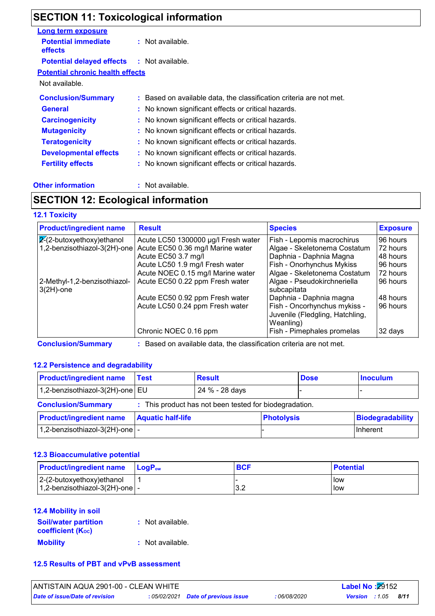### **SECTION 11: Toxicological information**

| <b>Long term exposure</b>                    |                                                                     |
|----------------------------------------------|---------------------------------------------------------------------|
| <b>Potential immediate</b><br><b>effects</b> | $:$ Not available.                                                  |
| <b>Potential delayed effects</b>             | : Not available.                                                    |
| <b>Potential chronic health effects</b>      |                                                                     |
| Not available.                               |                                                                     |
| <b>Conclusion/Summary</b>                    | : Based on available data, the classification criteria are not met. |
| <b>General</b>                               | : No known significant effects or critical hazards.                 |
| <b>Carcinogenicity</b>                       | : No known significant effects or critical hazards.                 |
| <b>Mutagenicity</b>                          | : No known significant effects or critical hazards.                 |
| <b>Teratogenicity</b>                        | : No known significant effects or critical hazards.                 |
| <b>Developmental effects</b>                 | : No known significant effects or critical hazards.                 |
| <b>Fertility effects</b>                     | : No known significant effects or critical hazards.                 |
|                                              |                                                                     |

#### **Other information :** Not available.

### **SECTION 12: Ecological information**

#### **12.1 Toxicity**

| <b>Product/ingredient name</b>               | <b>Result</b>                       | <b>Species</b>                                                               | <b>Exposure</b> |
|----------------------------------------------|-------------------------------------|------------------------------------------------------------------------------|-----------------|
| $\overline{2}$ -(2-butoxyethoxy)ethanol      | Acute LC50 1300000 µg/l Fresh water | Fish - Lepomis macrochirus                                                   | 96 hours        |
| 1,2-benzisothiazol-3(2H)-one                 | Acute EC50 0.36 mg/l Marine water   | Algae - Skeletonema Costatum                                                 | 72 hours        |
|                                              | Acute EC50 3.7 mg/l                 | Daphnia - Daphnia Magna                                                      | 48 hours        |
|                                              | Acute LC50 1.9 mg/l Fresh water     | Fish - Onorhynchus Mykiss                                                    | 96 hours        |
|                                              | Acute NOEC 0.15 mg/l Marine water   | Algae - Skeletonema Costatum                                                 | 72 hours        |
| 2-Methyl-1,2-benzisothiazol-<br>$3(2H)$ -one | Acute EC50 0.22 ppm Fresh water     | Algae - Pseudokirchneriella<br>subcapitata                                   | 96 hours        |
|                                              | Acute EC50 0.92 ppm Fresh water     | Daphnia - Daphnia magna                                                      | 48 hours        |
|                                              | Acute LC50 0.24 ppm Fresh water     | Fish - Oncorhynchus mykiss -<br>Juvenile (Fledgling, Hatchling,<br>Weanling) | 96 hours        |
|                                              | Chronic NOEC 0.16 ppm               | Fish - Pimephales promelas                                                   | 32 days         |

**Conclusion/Summary :** Based on available data, the classification criteria are not met.

#### **12.2 Persistence and degradability**

| <b>Product/ingredient name</b>         | <b>Test</b>              | <b>Result</b>                                          |                   | <b>Dose</b> | <b>Inoculum</b>  |
|----------------------------------------|--------------------------|--------------------------------------------------------|-------------------|-------------|------------------|
| 1,2-benzisothiazol-3(2H)-one   EU      |                          | 24 % - 28 days                                         |                   |             |                  |
| <b>Conclusion/Summary</b>              |                          | : This product has not been tested for biodegradation. |                   |             |                  |
| <b>Product/ingredient name</b>         | <b>Aquatic half-life</b> |                                                        | <b>Photolysis</b> |             | Biodegradability |
| 1,2-benzisothiazol-3(2H)-one $\vert$ - |                          |                                                        |                   |             | Inherent         |

#### **12.3 Bioaccumulative potential**

| <b>Product/ingredient name</b>            | <b>LogP</b> <sub>ow</sub> | <b>BCF</b> | <b>Potential</b> |
|-------------------------------------------|---------------------------|------------|------------------|
| $ 2-(2-butoxyethoxy)ethanol$              |                           |            | l low            |
| $1,2$ -benzisothiazol-3(2H)-one $\vert$ - |                           | J.Z        | <b>I</b> low     |

#### **12.4 Mobility in soil**

| <b>Soil/water partition</b><br><b>coefficient (Koc)</b> | : Not available. |
|---------------------------------------------------------|------------------|
| <b>Mobility</b>                                         | : Not available. |

#### **12.5 Results of PBT and vPvB assessment**

| ANTISTAIN AQUA 2901-00 - CLEAN WHITE |                                     |              | <b>Label No: 29152</b> |      |
|--------------------------------------|-------------------------------------|--------------|------------------------|------|
| Date of issue/Date of revision       | : 05/02/2021 Date of previous issue | : 06/08/2020 | <b>Version</b> : 1.05  | 8/11 |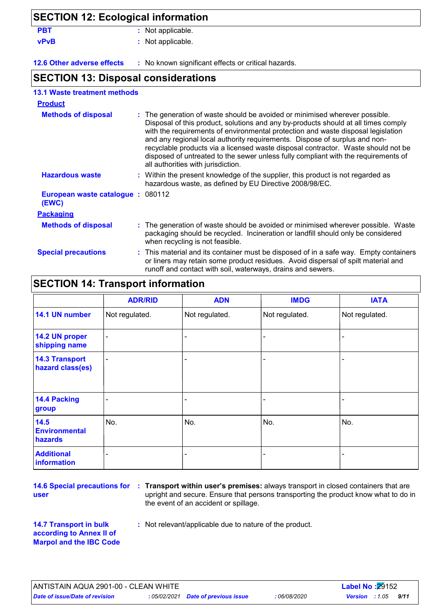| <b>SECTION 12: Ecological information</b>  |                                                                                                                                                                                                                                                                                                                                                                                                                                                                                                                                                      |
|--------------------------------------------|------------------------------------------------------------------------------------------------------------------------------------------------------------------------------------------------------------------------------------------------------------------------------------------------------------------------------------------------------------------------------------------------------------------------------------------------------------------------------------------------------------------------------------------------------|
| <b>PBT</b>                                 | : Not applicable.                                                                                                                                                                                                                                                                                                                                                                                                                                                                                                                                    |
| <b>vPvB</b>                                | : Not applicable.                                                                                                                                                                                                                                                                                                                                                                                                                                                                                                                                    |
| 12.6 Other adverse effects                 | : No known significant effects or critical hazards.                                                                                                                                                                                                                                                                                                                                                                                                                                                                                                  |
| <b>SECTION 13: Disposal considerations</b> |                                                                                                                                                                                                                                                                                                                                                                                                                                                                                                                                                      |
| <b>13.1 Waste treatment methods</b>        |                                                                                                                                                                                                                                                                                                                                                                                                                                                                                                                                                      |
| <b>Product</b>                             |                                                                                                                                                                                                                                                                                                                                                                                                                                                                                                                                                      |
| <b>Methods of disposal</b>                 | : The generation of waste should be avoided or minimised wherever possible.<br>Disposal of this product, solutions and any by-products should at all times comply<br>with the requirements of environmental protection and waste disposal legislation<br>and any regional local authority requirements. Dispose of surplus and non-<br>recyclable products via a licensed waste disposal contractor. Waste should not be<br>disposed of untreated to the sewer unless fully compliant with the requirements of<br>all authorities with jurisdiction. |
| <b>Hazardous waste</b>                     | : Within the present knowledge of the supplier, this product is not regarded as<br>hazardous waste, as defined by EU Directive 2008/98/EC.                                                                                                                                                                                                                                                                                                                                                                                                           |
| European waste catalogue: 080112<br>(EWC)  |                                                                                                                                                                                                                                                                                                                                                                                                                                                                                                                                                      |
| <b>Packaging</b>                           |                                                                                                                                                                                                                                                                                                                                                                                                                                                                                                                                                      |
| <b>Methods of disposal</b>                 | : The generation of waste should be avoided or minimised wherever possible. Waste<br>packaging should be recycled. Incineration or landfill should only be considered<br>when recycling is not feasible.                                                                                                                                                                                                                                                                                                                                             |
| <b>Special precautions</b>                 | : This material and its container must be disposed of in a safe way. Empty containers                                                                                                                                                                                                                                                                                                                                                                                                                                                                |

### **SECTION 14: Transport information**

|                                           | <b>ADR/RID</b>           | <b>ADN</b>     | <b>IMDG</b>    | <b>IATA</b>    |
|-------------------------------------------|--------------------------|----------------|----------------|----------------|
| 14.1 UN number                            | Not regulated.           | Not regulated. | Not regulated. | Not regulated. |
| 14.2 UN proper<br>shipping name           | -                        |                |                |                |
| <b>14.3 Transport</b><br>hazard class(es) | $\overline{\phantom{0}}$ |                |                |                |
| <b>14.4 Packing</b><br>group              |                          |                |                |                |
| 14.5<br><b>Environmental</b><br>hazards   | No.                      | No.            | No.            | No.            |
| <b>Additional</b><br>information          |                          |                |                |                |

**user**

**14.6 Special precautions for : Transport within user's premises:** always transport in closed containers that are upright and secure. Ensure that persons transporting the product know what to do in the event of an accident or spillage.

or liners may retain some product residues. Avoid dispersal of spilt material and

runoff and contact with soil, waterways, drains and sewers.

- **14.7 Transport in bulk according to Annex II of Marpol and the IBC Code**
- **:** Not relevant/applicable due to nature of the product.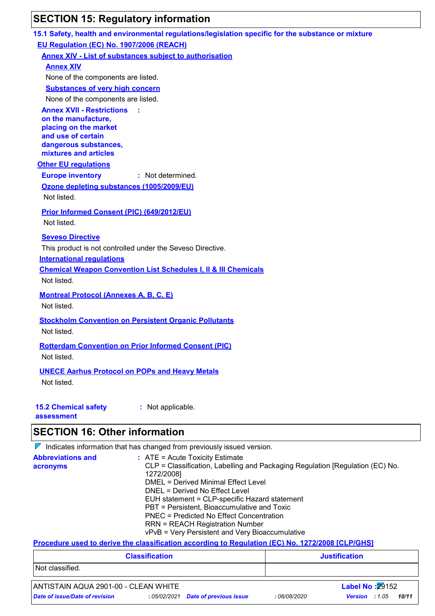## **SECTION 15: Regulatory information**

|                                                       | 15.1 Safety, health and environmental regulations/legislation specific for the substance or mixture                |
|-------------------------------------------------------|--------------------------------------------------------------------------------------------------------------------|
| EU Regulation (EC) No. 1907/2006 (REACH)              |                                                                                                                    |
|                                                       | <b>Annex XIV - List of substances subject to authorisation</b>                                                     |
| <b>Annex XIV</b>                                      |                                                                                                                    |
| None of the components are listed.                    |                                                                                                                    |
| <b>Substances of very high concern</b>                |                                                                                                                    |
| None of the components are listed.                    |                                                                                                                    |
| <b>Annex XVII - Restrictions</b>                      |                                                                                                                    |
| on the manufacture,<br>placing on the market          |                                                                                                                    |
| and use of certain                                    |                                                                                                                    |
| dangerous substances,                                 |                                                                                                                    |
| mixtures and articles                                 |                                                                                                                    |
| <b>Other EU regulations</b>                           |                                                                                                                    |
| <b>Europe inventory</b>                               | : Not determined.                                                                                                  |
| Ozone depleting substances (1005/2009/EU)             |                                                                                                                    |
| Not listed.                                           |                                                                                                                    |
| Prior Informed Consent (PIC) (649/2012/EU)            |                                                                                                                    |
| Not listed.                                           |                                                                                                                    |
| <b>Seveso Directive</b>                               |                                                                                                                    |
|                                                       | This product is not controlled under the Seveso Directive.                                                         |
| <b>International regulations</b>                      |                                                                                                                    |
|                                                       | <b>Chemical Weapon Convention List Schedules I, II &amp; III Chemicals</b>                                         |
| Not listed.                                           |                                                                                                                    |
| <b>Montreal Protocol (Annexes A, B, C, E)</b>         |                                                                                                                    |
| Not listed.                                           |                                                                                                                    |
|                                                       | <b>Stockholm Convention on Persistent Organic Pollutants</b>                                                       |
| Not listed.                                           |                                                                                                                    |
|                                                       |                                                                                                                    |
|                                                       | <b>Rotterdam Convention on Prior Informed Consent (PIC)</b>                                                        |
| Not listed.                                           |                                                                                                                    |
| <b>UNECE Aarhus Protocol on POPs and Heavy Metals</b> |                                                                                                                    |
| Not listed.                                           |                                                                                                                    |
|                                                       |                                                                                                                    |
| <b>15.2 Chemical safety</b>                           | : Not applicable.                                                                                                  |
| assessment                                            |                                                                                                                    |
| <b>SECTION 16: Other information</b>                  |                                                                                                                    |
|                                                       |                                                                                                                    |
| <b>Abbreviations and</b>                              | $\nabla$ Indicates information that has changed from previously issued version.                                    |
| acronyms                                              | $:$ ATE = Acute Toxicity Estimate<br>CLP = Classification, Labelling and Packaging Regulation [Regulation (EC) No. |
|                                                       | 1272/2008]                                                                                                         |
|                                                       | <b>DMEL = Derived Minimal Effect Level</b>                                                                         |
|                                                       | DNEL = Derived No Effect Level<br>EUH statement = CLP-specific Hazard statement                                    |
|                                                       | PBT = Persistent, Bioaccumulative and Toxic                                                                        |
|                                                       | <b>PNEC = Predicted No Effect Concentration</b>                                                                    |

RRN = REACH Registration Number

vPvB = Very Persistent and Very Bioaccumulative

#### **Procedure used to derive the classification according to Regulation (EC) No. 1272/2008 [CLP/GHS]**

| <b>Justification</b> |
|----------------------|
|                      |
|                      |
|                      |

### ANTISTAIN AQUA 2901-00 - CLEAN WHITE **Label No :**29152

*Date of issue/Date of revision* **:** *05/02/2021 Date of previous issue : 06/08/2020 Version : 1.05 10/11*